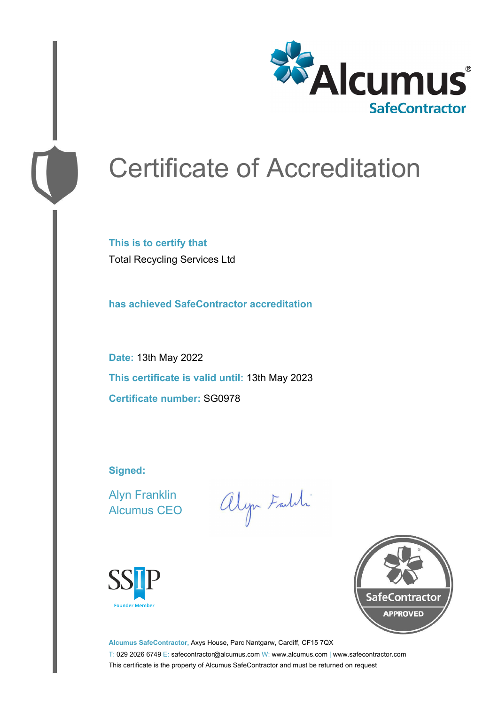

# Certificate of Accreditation

**This is to certify that** Total Recycling Services Ltd

**has achieved SafeContractor accreditation**

**Date:** 13th May 2022 **This certificate is valid until:** 13th May 2023 **Certificate number:** SG0978

**Signed:**

Alyn Franklin Alcumus CEO

alyn Faith





**Alcumus SafeContractor,** Axys House, Parc Nantgarw, Cardiff, CF15 7QX T: 029 2026 6749 E: safecontractor@alcumus.com W: www.alcumus.com | www.safecontractor.com This certificate is the property of Alcumus SafeContractor and must be returned on request